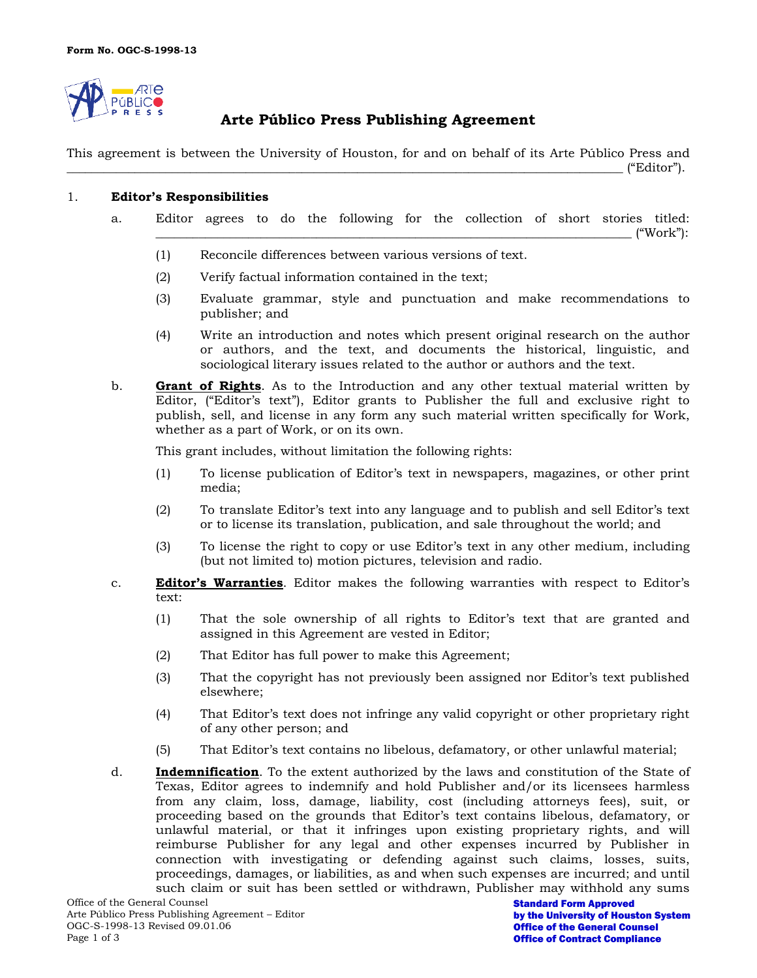

# **Arte Público Press Publishing Agreement**

This agreement is between the University of Houston, for and on behalf of its Arte Público Press and  $\hspace{2cm} \text{``Editor''}.$ 

### 1. **Editor's Responsibilities**

- a. Editor agrees to do the following for the collection of short stories titled:  $({}^\omega\text{Work'}):$ 
	- (1) Reconcile differences between various versions of text.
	- (2) Verify factual information contained in the text;
	- (3) Evaluate grammar, style and punctuation and make recommendations to publisher; and
	- (4) Write an introduction and notes which present original research on the author or authors, and the text, and documents the historical, linguistic, and sociological literary issues related to the author or authors and the text.
- b. **Grant of Rights**. As to the Introduction and any other textual material written by Editor, ("Editor's text"), Editor grants to Publisher the full and exclusive right to publish, sell, and license in any form any such material written specifically for Work, whether as a part of Work, or on its own.

This grant includes, without limitation the following rights:

- (1) To license publication of Editor's text in newspapers, magazines, or other print media;
- (2) To translate Editor's text into any language and to publish and sell Editor's text or to license its translation, publication, and sale throughout the world; and
- (3) To license the right to copy or use Editor's text in any other medium, including (but not limited to) motion pictures, television and radio.
- c. **Editor's Warranties**. Editor makes the following warranties with respect to Editor's text:
	- (1) That the sole ownership of all rights to Editor's text that are granted and assigned in this Agreement are vested in Editor;
	- (2) That Editor has full power to make this Agreement;
	- (3) That the copyright has not previously been assigned nor Editor's text published elsewhere;
	- (4) That Editor's text does not infringe any valid copyright or other proprietary right of any other person; and
	- (5) That Editor's text contains no libelous, defamatory, or other unlawful material;
- d. **Indemnification**. To the extent authorized by the laws and constitution of the State of Texas, Editor agrees to indemnify and hold Publisher and/or its licensees harmless from any claim, loss, damage, liability, cost (including attorneys fees), suit, or proceeding based on the grounds that Editor's text contains libelous, defamatory, or unlawful material, or that it infringes upon existing proprietary rights, and will reimburse Publisher for any legal and other expenses incurred by Publisher in connection with investigating or defending against such claims, losses, suits, proceedings, damages, or liabilities, as and when such expenses are incurred; and until such claim or suit has been settled or withdrawn, Publisher may withhold any sums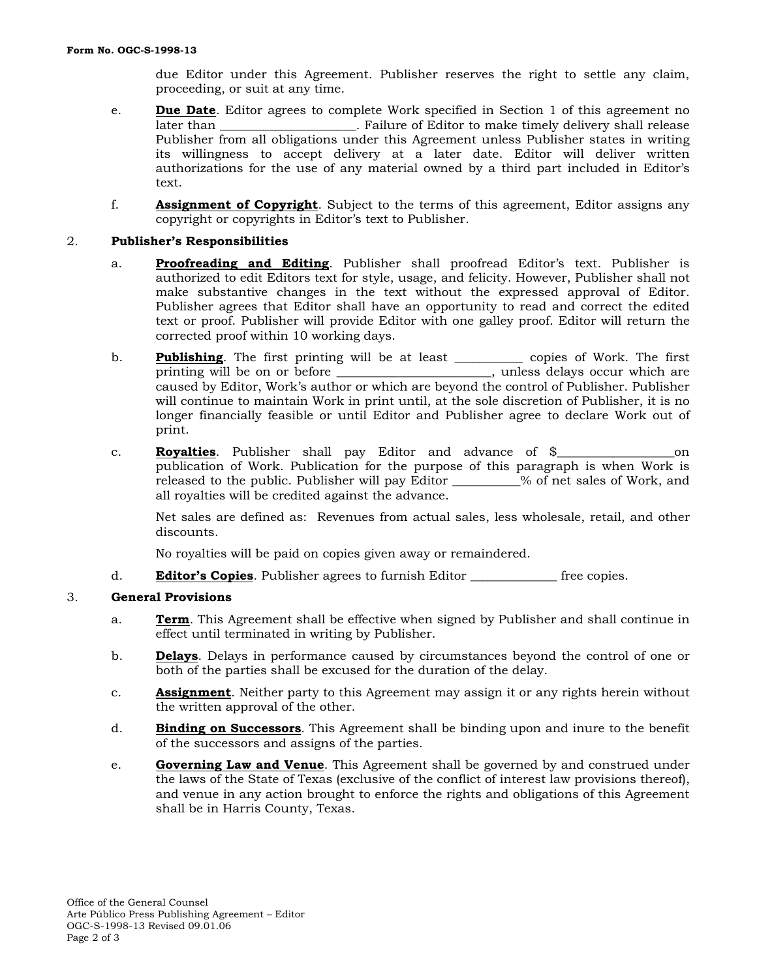due Editor under this Agreement. Publisher reserves the right to settle any claim, proceeding, or suit at any time.

- e. **Due Date**. Editor agrees to complete Work specified in Section 1 of this agreement no **Later 1**. Failure of Editor to make timely delivery shall release Publisher from all obligations under this Agreement unless Publisher states in writing its willingness to accept delivery at a later date. Editor will deliver written authorizations for the use of any material owned by a third part included in Editor's text.
- f. **Assignment of Copyright**. Subject to the terms of this agreement, Editor assigns any copyright or copyrights in Editor's text to Publisher.

## 2. **Publisher's Responsibilities**

- a. **Proofreading and Editing**. Publisher shall proofread Editor's text. Publisher is authorized to edit Editors text for style, usage, and felicity. However, Publisher shall not make substantive changes in the text without the expressed approval of Editor. Publisher agrees that Editor shall have an opportunity to read and correct the edited text or proof. Publisher will provide Editor with one galley proof. Editor will return the corrected proof within 10 working days.
- b. **Publishing**. The first printing will be at least \_\_\_\_\_\_\_\_\_\_\_ copies of Work. The first printing will be on or before \_\_\_\_\_\_\_\_\_\_\_\_\_\_\_\_\_\_\_\_\_\_\_\_\_, unless delays occur which are caused by Editor, Work's author or which are beyond the control of Publisher. Publisher will continue to maintain Work in print until, at the sole discretion of Publisher, it is no longer financially feasible or until Editor and Publisher agree to declare Work out of print.
- c. **Royalties**. Publisher shall pay Editor and advance of \$\_\_\_\_\_\_\_\_\_\_\_\_\_\_\_\_\_\_\_on publication of Work. Publication for the purpose of this paragraph is when Work is released to the public. Publisher will pay Editor  $\%$  of net sales of Work, and all royalties will be credited against the advance.

Net sales are defined as: Revenues from actual sales, less wholesale, retail, and other discounts.

No royalties will be paid on copies given away or remaindered.

d. **Editor's Copies**. Publisher agrees to furnish Editor \_\_\_\_\_\_\_\_\_\_\_\_\_\_ free copies.

# 3. **General Provisions**

- a. **Term**. This Agreement shall be effective when signed by Publisher and shall continue in effect until terminated in writing by Publisher.
- b. **Delays**. Delays in performance caused by circumstances beyond the control of one or both of the parties shall be excused for the duration of the delay.
- c. **Assignment**. Neither party to this Agreement may assign it or any rights herein without the written approval of the other.
- d. **Binding on Successors**. This Agreement shall be binding upon and inure to the benefit of the successors and assigns of the parties.
- e. **Governing Law and Venue**. This Agreement shall be governed by and construed under the laws of the State of Texas (exclusive of the conflict of interest law provisions thereof), and venue in any action brought to enforce the rights and obligations of this Agreement shall be in Harris County, Texas.